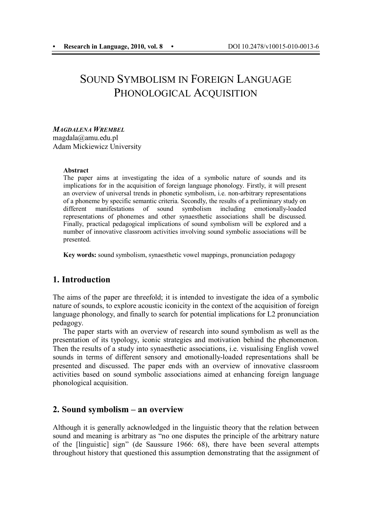## SOUND SYMBOLISM IN FOREIGN LANGUAGE PHONOLOGICAL ACQUISITION

## *MAGDALENA WREMBEL* magdala@amu.edu.pl Adam Mickiewicz University

#### **Abstract**

The paper aims at investigating the idea of a symbolic nature of sounds and its implications for in the acquisition of foreign language phonology. Firstly, it will present an overview of universal trends in phonetic symbolism, i.e. non-arbitrary representations of a phoneme by specific semantic criteria. Secondly, the results of a preliminary study on different manifestations of sound symbolism including emotionally-loaded different manifestations of sound symbolism including emotionally-loaded representations of phonemes and other synaesthetic associations shall be discussed. Finally, practical pedagogical implications of sound symbolism will be explored and a number of innovative classroom activities involving sound symbolic associations will be presented.

**Key words:** sound symbolism, synaesthetic vowel mappings, pronunciation pedagogy

## **1. Introduction**

The aims of the paper are threefold; it is intended to investigate the idea of a symbolic nature of sounds, to explore acoustic iconicity in the context of the acquisition of foreign language phonology, and finally to search for potential implications for L2 pronunciation pedagogy.

The paper starts with an overview of research into sound symbolism as well as the presentation of its typology, iconic strategies and motivation behind the phenomenon. Then the results of a study into synaesthetic associations, i.e. visualising English vowel sounds in terms of different sensory and emotionally-loaded representations shall be presented and discussed. The paper ends with an overview of innovative classroom activities based on sound symbolic associations aimed at enhancing foreign language phonological acquisition.

## **2. Sound symbolism – an overview**

Although it is generally acknowledged in the linguistic theory that the relation between sound and meaning is arbitrary as "no one disputes the principle of the arbitrary nature of the [linguistic] sign" (de Saussure 1966: 68), there have been several attempts throughout history that questioned this assumption demonstrating that the assignment of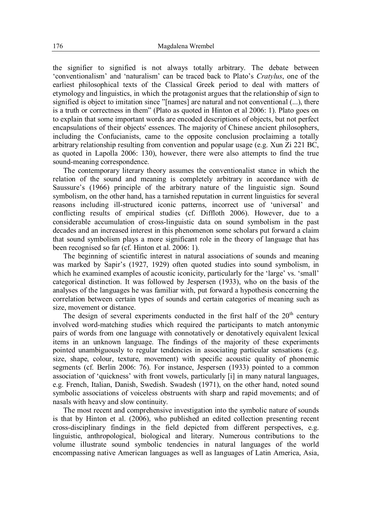the signifier to signified is not always totally arbitrary. The debate between 'conventionalism' and 'naturalism' can be traced back to Plato's *Cratylus*, one of the earliest philosophical texts of the Classical Greek period to deal with matters of etymology and linguistics, in which the protagonist argues that the relationship of sign to signified is object to imitation since "[names] are natural and not conventional (...), there is a truth or correctness in them" (Plato as quoted in Hinton et al 2006: 1). Plato goes on to explain that some important words are encoded descriptions of objects, but not perfect encapsulations of their objects' essences. The majority of Chinese ancient philosophers, including the Confucianists, came to the opposite conclusion proclaiming a totally arbitrary relationship resulting from convention and popular usage (e.g. Xun Zi 221 BC, as quoted in Lapolla 2006: 130), however, there were also attempts to find the true sound-meaning correspondence.

The contemporary literary theory assumes the conventionalist stance in which the relation of the sound and meaning is completely arbitrary in accordance with de Saussure's (1966) principle of the arbitrary nature of the linguistic sign. Sound symbolism, on the other hand, has a tarnished reputation in current linguistics for several reasons including ill-structured iconic patterns, incorrect use of 'universal' and conflicting results of empirical studies (cf. Diffloth 2006). However, due to a considerable accumulation of cross-linguistic data on sound symbolism in the past decades and an increased interest in this phenomenon some scholars put forward a claim that sound symbolism plays a more significant role in the theory of language that has been recognised so far (cf. Hinton et al. 2006: 1).

The beginning of scientific interest in natural associations of sounds and meaning was marked by Sapir's (1927, 1929) often quoted studies into sound symbolism, in which he examined examples of acoustic iconicity, particularly for the 'large' vs. 'small' categorical distinction. It was followed by Jespersen (1933), who on the basis of the analyses of the languages he was familiar with, put forward a hypothesis concerning the correlation between certain types of sounds and certain categories of meaning such as size, movement or distance.

The design of several experiments conducted in the first half of the  $20<sup>th</sup>$  century involved word-matching studies which required the participants to match antonymic pairs of words from one language with connotatively or denotatively equivalent lexical items in an unknown language. The findings of the majority of these experiments pointed unambiguously to regular tendencies in associating particular sensations (e.g. size, shape, colour, texture, movement) with specific acoustic quality of phonemic segments (cf. Berlin 2006: 76). For instance, Jespersen (1933) pointed to a common association of 'quickness' with front vowels, particularly [i] in many natural languages, e.g. French, Italian, Danish, Swedish. Swadesh (1971), on the other hand, noted sound symbolic associations of voiceless obstruents with sharp and rapid movements; and of nasals with heavy and slow continuity.

The most recent and comprehensive investigation into the symbolic nature of sounds is that by Hinton et al. (2006), who published an edited collection presenting recent cross-disciplinary findings in the field depicted from different perspectives, e.g. linguistic, anthropological, biological and literary. Numerous contributions to the volume illustrate sound symbolic tendencies in natural languages of the world encompassing native American languages as well as languages of Latin America, Asia,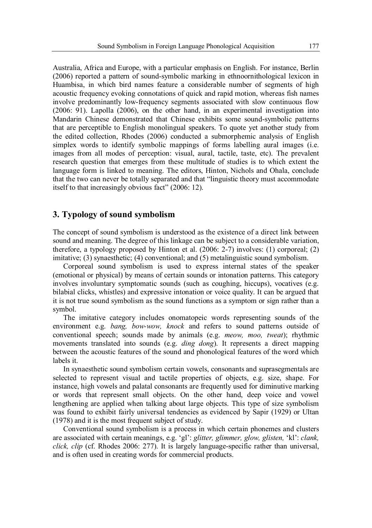Australia, Africa and Europe, with a particular emphasis on English. For instance, Berlin (2006) reported a pattern of sound-symbolic marking in ethnoornithological lexicon in Huambisa, in which bird names feature a considerable number of segments of high acoustic frequency evoking connotations of quick and rapid motion, whereas fish names involve predominantly low-frequency segments associated with slow continuous flow (2006: 91). Lapolla (2006), on the other hand, in an experimental investigation into Mandarin Chinese demonstrated that Chinese exhibits some sound-symbolic patterns that are perceptible to English monolingual speakers. To quote yet another study from the edited collection, Rhodes (2006) conducted a submorphemic analysis of English simplex words to identify symbolic mappings of forms labelling aural images (i.e. images from all modes of perception: visual, aural, tactile, taste, etc). The prevalent research question that emerges from these multitude of studies is to which extent the language form is linked to meaning. The editors, Hinton, Nichols and Ohala, conclude that the two can never be totally separated and that "linguistic theory must accommodate itself to that increasingly obvious fact" (2006: 12).

## **3. Typology of sound symbolism**

The concept of sound symbolism is understood as the existence of a direct link between sound and meaning. The degree of this linkage can be subject to a considerable variation, therefore, a typology proposed by Hinton et al. (2006: 2-7) involves: (1) corporeal; (2) imitative; (3) synaesthetic; (4) conventional; and (5) metalinguistic sound symbolism.

Corporeal sound symbolism is used to express internal states of the speaker (emotional or physical) by means of certain sounds or intonation patterns. This category involves involuntary symptomatic sounds (such as coughing, hiccups), vocatives (e.g. bilabial clicks, whistles) and expressive intonation or voice quality. It can be argued that it is not true sound symbolism as the sound functions as a symptom or sign rather than a symbol.

The imitative category includes onomatopeic words representing sounds of the environment e.g. *bang, bow-wow, knock* and refers to sound patterns outside of conventional speech; sounds made by animals (e.g. *meow, moo, tweat*); rhythmic movements translated into sounds (e.g. *ding dong*). It represents a direct mapping between the acoustic features of the sound and phonological features of the word which labels it.

In synaesthetic sound symbolism certain vowels, consonants and suprasegmentals are selected to represent visual and tactile properties of objects, e.g. size, shape. For instance, high vowels and palatal consonants are frequently used for diminutive marking or words that represent small objects. On the other hand, deep voice and vowel lengthening are applied when talking about large objects. This type of size symbolism was found to exhibit fairly universal tendencies as evidenced by Sapir (1929) or Ultan (1978) and it is the most frequent subject of study.

Conventional sound symbolism is a process in which certain phonemes and clusters are associated with certain meanings, e.g. 'gl': *glitter, glimmer, glow, glisten,* 'kl': *clank, click, clip* (cf. Rhodes 2006: 277). It is largely language-specific rather than universal, and is often used in creating words for commercial products.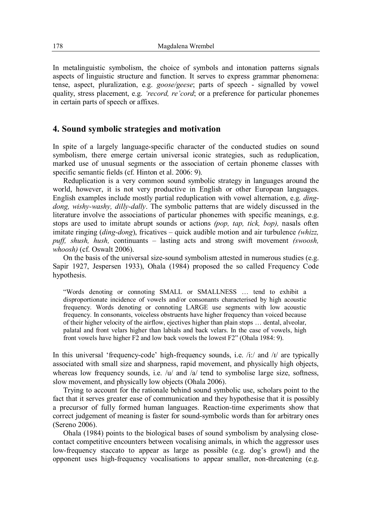In metalinguistic symbolism, the choice of symbols and intonation patterns signals aspects of linguistic structure and function. It serves to express grammar phenomena: tense, aspect, pluralization, e.g. *goose/geese*; parts of speech - signalled by vowel quality, stress placement, e.g. *'record, re'cord*; or a preference for particular phonemes in certain parts of speech or affixes.

## **4. Sound symbolic strategies and motivation**

In spite of a largely language-specific character of the conducted studies on sound symbolism, there emerge certain universal iconic strategies, such as reduplication, marked use of unusual segments or the association of certain phoneme classes with specific semantic fields (cf. Hinton et al. 2006: 9).

Reduplication is a very common sound symbolic strategy in languages around the world, however, it is not very productive in English or other European languages. English examples include mostly partial reduplication with vowel alternation, e.g. *dingdong, wishy-washy, dilly-dally*. The symbolic patterns that are widely discussed in the literature involve the associations of particular phonemes with specific meanings, e.g. stops are used to imitate abrupt sounds or actions *(pop, tap, tick, bop),* nasals often imitate ringing (*ding-dong*), fricatives – quick audible motion and air turbulence *(whizz, puff, shush, hush,* continuants – lasting acts and strong swift movement *(swoosh, whoosh)* (cf. Oswalt 2006).

On the basis of the universal size-sound symbolism attested in numerous studies (e.g. Sapir 1927, Jespersen 1933), Ohala (1984) proposed the so called Frequency Code hypothesis.

"Words denoting or connoting SMALL or SMALLNESS … tend to exhibit a disproportionate incidence of vowels and/or consonants characterised by high acoustic frequency. Words denoting or connoting LARGE use segments with low acoustic frequency. In consonants, voiceless obstruents have higher frequency than voiced because of their higher velocity of the airflow, ejectives higher than plain stops … dental, alveolar, palatal and front velars higher than labials and back velars. In the case of vowels, high front vowels have higher F2 and low back vowels the lowest F2" (Ohala 1984: 9).

In this universal 'frequency-code' high-frequency sounds, i.e.  $/i$ :/ and  $/i$  are typically associated with small size and sharpness, rapid movement, and physically high objects, whereas low frequency sounds, i.e.  $/u'$  and  $/a'$  tend to symbolise large size, softness, slow movement, and physically low objects (Ohala 2006).

Trying to account for the rationale behind sound symbolic use, scholars point to the fact that it serves greater ease of communication and they hypothesise that it is possibly a precursor of fully formed human languages. Reaction-time experiments show that correct judgement of meaning is faster for sound-symbolic words than for arbitrary ones (Sereno 2006).

Ohala (1984) points to the biological bases of sound symbolism by analysing closecontact competitive encounters between vocalising animals, in which the aggressor uses low-frequency staccato to appear as large as possible (e.g. dog's growl) and the opponent uses high-frequency vocalisations to appear smaller, non-threatening (e.g.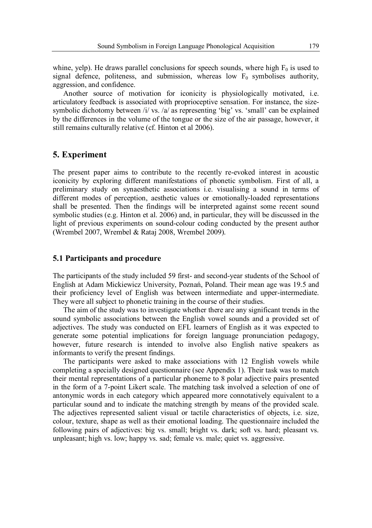whine, yelp). He draws parallel conclusions for speech sounds, where high  $F_0$  is used to signal defence, politeness, and submission, whereas low  $F_0$  symbolises authority, aggression, and confidence.

Another source of motivation for iconicity is physiologically motivated, i.e. articulatory feedback is associated with proprioceptive sensation. For instance, the sizesymbolic dichotomy between /i/ vs. /a/ as representing 'big' vs. 'small' can be explained by the differences in the volume of the tongue or the size of the air passage, however, it still remains culturally relative (cf. Hinton et al 2006).

## **5. Experiment**

The present paper aims to contribute to the recently re-evoked interest in acoustic iconicity by exploring different manifestations of phonetic symbolism. First of all, a preliminary study on synaesthetic associations i.e. visualising a sound in terms of different modes of perception, aesthetic values or emotionally-loaded representations shall be presented. Then the findings will be interpreted against some recent sound symbolic studies (e.g. Hinton et al. 2006) and, in particular, they will be discussed in the light of previous experiments on sound-colour coding conducted by the present author (Wrembel 2007, Wrembel & Rataj 2008, Wrembel 2009).

#### **5.1 Participants and procedure**

The participants of the study included 59 first- and second-year students of the School of English at Adam Mickiewicz University, Poznań, Poland. Their mean age was 19.5 and their proficiency level of English was between intermediate and upper-intermediate. They were all subject to phonetic training in the course of their studies.

The aim of the study was to investigate whether there are any significant trends in the sound symbolic associations between the English vowel sounds and a provided set of adjectives. The study was conducted on EFL learners of English as it was expected to generate some potential implications for foreign language pronunciation pedagogy, however, future research is intended to involve also English native speakers as informants to verify the present findings.

The participants were asked to make associations with 12 English vowels while completing a specially designed questionnaire (see Appendix 1). Their task was to match their mental representations of a particular phoneme to 8 polar adjective pairs presented in the form of a 7-point Likert scale. The matching task involved a selection of one of antonymic words in each category which appeared more connotatively equivalent to a particular sound and to indicate the matching strength by means of the provided scale. The adjectives represented salient visual or tactile characteristics of objects, i.e. size, colour, texture, shape as well as their emotional loading. The questionnaire included the following pairs of adjectives: big vs. small; bright vs. dark; soft vs. hard; pleasant vs. unpleasant; high vs. low; happy vs. sad; female vs. male; quiet vs. aggressive.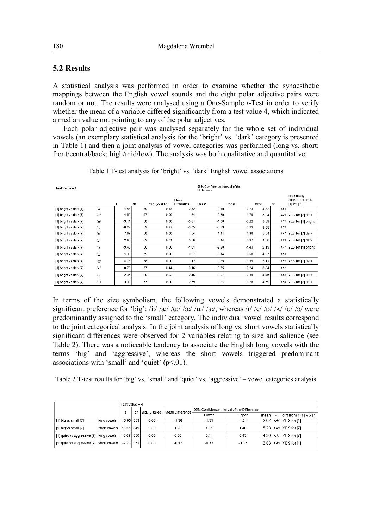## **5.2 Results**

A statistical analysis was performed in order to examine whether the synaesthetic mappings between the English vowel sounds and the eight polar adjective pairs were random or not. The results were analysed using a One-Sample *t*-Test in order to verify whether the mean of a variable differed significantly from a test value 4, which indicated a median value not pointing to any of the polar adjectives.

Each polar adjective pair was analysed separately for the whole set of individual vowels (an exemplary statistical analysis for the 'bright' vs. 'dark' category is presented in Table 1) and then a joint analysis of vowel categories was performed (long vs. short; front/central/back; high/mid/low). The analysis was both qualitative and quantitative.

| Test Value = 4         |                 |         | 95% Confidence Interval of the<br>Difference |                 |                    |         |         |      |      |                                                  |
|------------------------|-----------------|---------|----------------------------------------------|-----------------|--------------------|---------|---------|------|------|--------------------------------------------------|
|                        |                 |         | df                                           | Sig. (2-tailed) | Mean<br>Difference | Lower   | Upper   | mean | sd   | statistically<br>different from 4.<br>[1] VS [7] |
| [1] bright vs dark [7] | W               | 1.53    | 59                                           | 0.13            | 0.32               | $-0.10$ | 0.73    | 4.32 | 1.60 |                                                  |
| [1] bright vs dark [7] | /ax/            | 4.55    | 57                                           | 0.00            | 1.24               | 0.69    | 1.79    | 5.24 | 2.08 | YES for [7] dark                                 |
| [1] bright vs dark [7] | x               | $-3.11$ | 58                                           | 0.00            | $-0.61$            | $-1.00$ | $-0.22$ | 3.39 | 1.51 | YES for [1] bright                               |
| [1] bright vs dark [7] | le/             | $-0.29$ | 59                                           | 0.77            | $-0.05$            | $-0.39$ | 0.29    | 3.95 | 1.32 |                                                  |
| [1] bright vs dark [7] | /a              | 7.07    | 58                                           | 0.00            | 1.54               | 1.11    | 1.98    | 5.54 | 1.67 | YES for [7] dark                                 |
| [1] bright vs dark [7] | $\sqrt{}}$      | 2.65    | 62                                           | 0.01            | 0.56               | 0.14    | 0.97    | 4.56 |      | 1.66 YES for [7] dark                            |
| [1] bright vs dark [7] | $/$ u/          | $-9.49$ | 58                                           | 0.00            | $-1.81$            | $-2.20$ | $-1.43$ | 2.19 | 1.47 | YES for [1] bright                               |
| [1] bright vs dark [7] | /b/             | 1.30    | 59                                           | 0.20            | 0.27               | $-0.14$ | 0.68    | 4.27 | 1.59 |                                                  |
| [1] bright vs dark [7] | 10 <sup>j</sup> | 4.75    | 58                                           | 0.00            | 1.12               | 0.65    | 1.59    | 5.12 | 1.81 | YES for [7] dark                                 |
| [1] bright vs dark [7] | 13:1            | $-0.78$ | 57                                           | 0.44            | $-0.16$            | $-0.55$ | 0.24    | 3.84 | 1.52 |                                                  |
| [1] bright vs dark [7] | lül             | 2.35    | 60                                           | 0.02            | 0.46               | 0.07    | 0.85    | 4.46 |      | 1.52 YES for [7] dark                            |
| [1] bright vs dark [7] | /uv             | 3.30    | 57                                           | 0.00            | 0.79               | 0.31    | 1.28    | 4.79 | 1.83 | YES for [7] dark                                 |

Table 1 T-test analysis for 'bright' vs. 'dark' English vowel associations

In terms of the size symbolism, the following vowels demonstrated a statistically significant preference for 'big': /iː/ /æ/ /ɑː/ /ɔː/ /uː/ /ɜː/, whereas /ɪ/ /e/ /p/ / $\Delta$  /v/ /ə/ were predominantly assigned to the 'small' category. The individual vowel results correspond to the joint categorical analysis. In the joint analysis of long vs. short vowels statistically significant differences were observed for 2 variables relating to size and salience (see Table 2). There was a noticeable tendency to associate the English long vowels with the terms 'big' and 'aggressive', whereas the short vowels triggered predominant associations with 'small' and 'quiet'  $(p<.01)$ .

Table 2 T-test results for 'big' vs. 'small' and 'quiet' vs. 'aggressive' – vowel categories analysis

|                                          | Test Value = $4$ |              |            |      |                                   |                                           |         |      |    |                        |
|------------------------------------------|------------------|--------------|------------|------|-----------------------------------|-------------------------------------------|---------|------|----|------------------------|
|                                          |                  |              |            |      | Sig. (2-tailed)   Mean Difference | 95% Confidence Interval of the Difference |         |      |    |                        |
|                                          |                  |              | df         |      |                                   | Lower                                     | Upper   | mean | sd | diff from 4 [1] VS [7] |
| [1] big vs small [7]                     | long vowels      | $-15.85$ 353 |            | 0.00 | $-1.38$                           | $-1.55$                                   | $-1.21$ | 2.62 |    | 1.64 YES for [1]       |
| [1] big vs small [7]                     | short vowels     | 13.65 349    |            | 0.00 | 1.23                              | 1.05                                      | 1.40    | 5.23 |    | 1.68 YES for [7]       |
| [1] quiet vs aggressive [7] long vowels  |                  |              | $3.67$ 350 | 0.00 | 0.30                              | 0.14                                      | 0.45    | 4.30 |    | 1.51 YES for [7]       |
| [1] quiet vs aggressive [7] short vowels |                  | $-2.20$ 352  |            | 0.03 | $-0.17$                           | $-0.32$                                   | $-0.02$ | 3.83 |    | 1.45 YES for [1]       |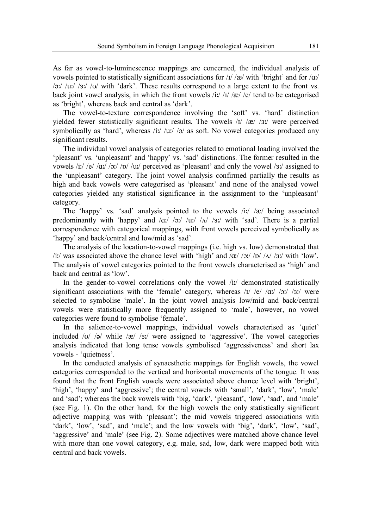As far as vowel-to-luminescence mappings are concerned, the individual analysis of vowels pointed to statistically significant associations for  $\frac{1}{\sqrt{2}}$  with 'bright' and for  $\frac{1}{\alpha}$ ' // // // // with 'dark'. These results correspond to a large extent to the front vs. back joint vowel analysis, in which the front vowels  $\frac{i!}{|x|}$  / $\frac{1}{|x|}$  /e/ tend to be categorised as 'bright', whereas back and central as 'dark'.

The vowel-to-texture correspondence involving the 'soft' vs. 'hard' distinction yielded fewer statistically significant results. The vowels  $\frac{1}{\sqrt{2}}$  / $\frac{1}{\sqrt{2}}$  / $\frac{1}{\sqrt{2}}$  / were perceived symbolically as 'hard', whereas /i:/ /u:/ / $\sigma$ / as soft. No vowel categories produced any significant results.

The individual vowel analysis of categories related to emotional loading involved the 'pleasant' vs. 'unpleasant' and 'happy' vs. 'sad' distinctions. The former resulted in the vowels /i:/ /e/ /a:/ /p/ /u/ perceived as 'pleasant' and only the vowel /3:/ assigned to the 'unpleasant' category. The joint vowel analysis confirmed partially the results as high and back vowels were categorised as 'pleasant' and none of the analysed vowel categories yielded any statistical significance in the assignment to the 'unpleasant' category.

The 'happy' vs. 'sad' analysis pointed to the vowels  $\pi/2$  / $\alpha$  being associated predominantly with 'happy' and  $\langle \alpha y / \alpha y / \alpha x / \alpha y / \alpha y \rangle$ ' with 'sad'. There is a partial correspondence with categorical mappings, with front vowels perceived symbolically as 'happy' and back/central and low/mid as 'sad'.

The analysis of the location-to-vowel mappings (i.e. high vs. low) demonstrated that /i:/ was associated above the chance level with 'high' and / $a$ :/ / $b$ / / $b$ / / $d$ / $s$ :/ with 'low'. The analysis of vowel categories pointed to the front vowels characterised as 'high' and back and central as 'low'.

In the gender-to-vowel correlations only the vowel /i:/ demonstrated statistically significant associations with the 'female' category, whereas // /e/ // // // were selected to symbolise 'male'. In the joint vowel analysis low/mid and back/central vowels were statistically more frequently assigned to 'male', however, no vowel categories were found to symbolise 'female'.

In the salience-to-vowel mappings, individual vowels characterised as 'quiet' included / $v/$  / $\phi$ / while / $\alpha$ / / $\phi$ / were assigned to 'aggressive'. The vowel categories analysis indicated that long tense vowels symbolised 'aggressiveness' and short lax vowels - 'quietness'.

In the conducted analysis of synaesthetic mappings for English vowels, the vowel categories corresponded to the vertical and horizontal movements of the tongue. It was found that the front English vowels were associated above chance level with 'bright', 'high', 'happy' and 'aggressive'; the central vowels with 'small', 'dark', 'low', 'male' and 'sad'; whereas the back vowels with 'big, 'dark', 'pleasant', 'low', 'sad', and 'male' (see Fig. 1). On the other hand, for the high vowels the only statistically significant adjective mapping was with 'pleasant'; the mid vowels triggered associations with 'dark', 'low', 'sad', and 'male'; and the low vowels with 'big', 'dark', 'low', 'sad', 'aggressive' and 'male' (see Fig. 2). Some adjectives were matched above chance level with more than one vowel category, e.g. male, sad, low, dark were mapped both with central and back vowels.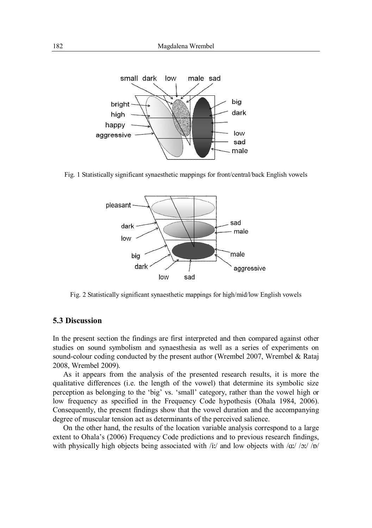

Fig. 1 Statistically significant synaesthetic mappings for front/central/back English vowels



Fig. 2 Statistically significant synaesthetic mappings for high/mid/low English vowels

## **5.3 Discussion**

In the present section the findings are first interpreted and then compared against other studies on sound symbolism and synaesthesia as well as a series of experiments on sound-colour coding conducted by the present author (Wrembel 2007, Wrembel & Rataj 2008, Wrembel 2009).

As it appears from the analysis of the presented research results, it is more the qualitative differences (i.e. the length of the vowel) that determine its symbolic size perception as belonging to the 'big' vs. 'small' category, rather than the vowel high or low frequency as specified in the Frequency Code hypothesis (Ohala 1984, 2006). Consequently, the present findings show that the vowel duration and the accompanying degree of muscular tension act as determinants of the perceived salience.

On the other hand, the results of the location variable analysis correspond to a large extent to Ohala's (2006) Frequency Code predictions and to previous research findings, with physically high objects being associated with /i;/ and low objects with / $a$ ;/ / $b$ / / $b$ /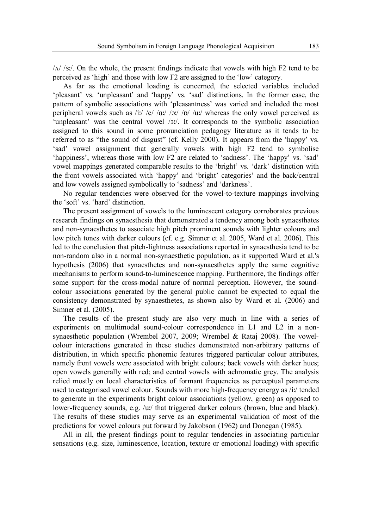$/\Lambda$  /3 $\rlap{.}$ . On the whole, the present findings indicate that vowels with high F2 tend to be perceived as 'high' and those with low F2 are assigned to the 'low' category.

As far as the emotional loading is concerned, the selected variables included 'pleasant' vs. 'unpleasant' and 'happy' vs. 'sad' distinctions. In the former case, the pattern of symbolic associations with 'pleasantness' was varied and included the most peripheral vowels such as /i:/ /e/ /a:/ /o:/ /p/ /u:/ whereas the only vowel perceived as 'unpleasant' was the central vowel  $/3$ . It corresponds to the symbolic association assigned to this sound in some pronunciation pedagogy literature as it tends to be referred to as "the sound of disgust" (cf. Kelly 2000). It appears from the 'happy' vs. 'sad' vowel assignment that generally vowels with high F2 tend to symbolise 'happiness', whereas those with low F2 are related to 'sadness'. The 'happy' vs. 'sad' vowel mappings generated comparable results to the 'bright' vs. 'dark' distinction with the front vowels associated with 'happy' and 'bright' categories' and the back/central and low vowels assigned symbolically to 'sadness' and 'darkness'.

No regular tendencies were observed for the vowel-to-texture mappings involving the 'soft' vs. 'hard' distinction.

The present assignment of vowels to the luminescent category corroborates previous research findings on synaesthesia that demonstrated a tendency among both synaesthates and non-synaesthetes to associate high pitch prominent sounds with lighter colours and low pitch tones with darker colours (cf. e.g. Simner et al. 2005, Ward et al. 2006). This led to the conclusion that pitch-lightness associations reported in synaesthesia tend to be non-random also in a normal non-synaesthetic population, as it supported Ward et al.'s hypothesis (2006) that synaesthetes and non-synaesthetes apply the same cognitive mechanisms to perform sound-to-luminescence mapping. Furthermore, the findings offer some support for the cross-modal nature of normal perception. However, the soundcolour associations generated by the general public cannot be expected to equal the consistency demonstrated by synaesthetes, as shown also by Ward et al. (2006) and Simner et al. (2005).

The results of the present study are also very much in line with a series of experiments on multimodal sound-colour correspondence in L1 and L2 in a nonsynaesthetic population (Wrembel 2007, 2009; Wrembel & Rataj 2008). The vowelcolour interactions generated in these studies demonstrated non-arbitrary patterns of distribution, in which specific phonemic features triggered particular colour attributes, namely front vowels were associated with bright colours; back vowels with darker hues; open vowels generally with red; and central vowels with achromatic grey. The analysis relied mostly on local characteristics of formant frequencies as perceptual parameters used to categorised vowel colour. Sounds with more high-frequency energy as /i:/ tended to generate in the experiments bright colour associations (yellow, green) as opposed to lower-frequency sounds, e.g. /u:/ that triggered darker colours (brown, blue and black). The results of these studies may serve as an experimental validation of most of the predictions for vowel colours put forward by Jakobson (1962) and Donegan (1985).

All in all, the present findings point to regular tendencies in associating particular sensations (e.g. size, luminescence, location, texture or emotional loading) with specific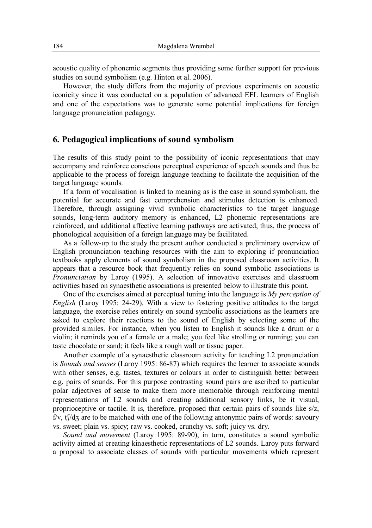acoustic quality of phonemic segments thus providing some further support for previous studies on sound symbolism (e.g. Hinton et al. 2006).

However, the study differs from the majority of previous experiments on acoustic iconicity since it was conducted on a population of advanced EFL learners of English and one of the expectations was to generate some potential implications for foreign language pronunciation pedagogy.

## **6. Pedagogical implications of sound symbolism**

The results of this study point to the possibility of iconic representations that may accompany and reinforce conscious perceptual experience of speech sounds and thus be applicable to the process of foreign language teaching to facilitate the acquisition of the target language sounds.

If a form of vocalisation is linked to meaning as is the case in sound symbolism, the potential for accurate and fast comprehension and stimulus detection is enhanced. Therefore, through assigning vivid symbolic characteristics to the target language sounds, long-term auditory memory is enhanced, L2 phonemic representations are reinforced, and additional affective learning pathways are activated, thus, the process of phonological acquisition of a foreign language may be facilitated.

As a follow-up to the study the present author conducted a preliminary overview of English pronunciation teaching resources with the aim to exploring if pronunciation textbooks apply elements of sound symbolism in the proposed classroom activities. It appears that a resource book that frequently relies on sound symbolic associations is *Pronunciation* by Laroy (1995). A selection of innovative exercises and classroom activities based on synaesthetic associations is presented below to illustrate this point.

One of the exercises aimed at perceptual tuning into the language is *My perception of English* (Laroy 1995: 24-29). With a view to fostering positive attitudes to the target language, the exercise relies entirely on sound symbolic associations as the learners are asked to explore their reactions to the sound of English by selecting some of the provided similes. For instance, when you listen to English it sounds like a drum or a violin; it reminds you of a female or a male; you feel like strolling or running; you can taste chocolate or sand; it feels like a rough wall or tissue paper.

Another example of a synaesthetic classroom activity for teaching L2 pronunciation is *Sounds and senses* (Laroy 1995: 86-87) which requires the learner to associate sounds with other senses, e.g. tastes, textures or colours in order to distinguish better between e.g. pairs of sounds. For this purpose contrasting sound pairs are ascribed to particular polar adjectives of sense to make them more memorable through reinforcing mental representations of L2 sounds and creating additional sensory links, be it visual, proprioceptive or tactile. It is, therefore, proposed that certain pairs of sounds like  $s/z$ ,  $f/\nu$ ,  $f/d\tau$  are to be matched with one of the following antonymic pairs of words: savoury vs. sweet; plain vs. spicy; raw vs. cooked, crunchy vs. soft; juicy vs. dry.

*Sound and movement* (Laroy 1995: 89-90), in turn, constitutes a sound symbolic activity aimed at creating kinaesthetic representations of L2 sounds. Laroy puts forward a proposal to associate classes of sounds with particular movements which represent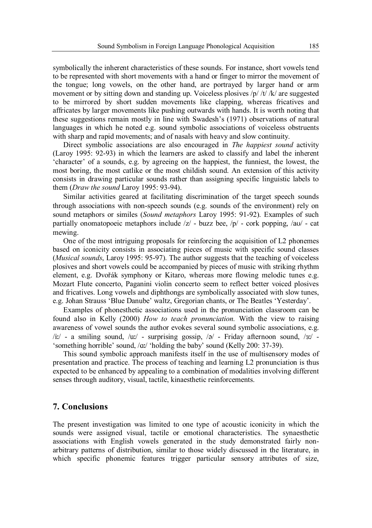symbolically the inherent characteristics of these sounds. For instance, short vowels tend to be represented with short movements with a hand or finger to mirror the movement of the tongue; long vowels, on the other hand, are portrayed by larger hand or arm movement or by sitting down and standing up. Voiceless plosives  $/p'/t'/k$  are suggested to be mirrored by short sudden movements like clapping, whereas fricatives and affricates by larger movements like pushing outwards with hands. It is worth noting that these suggestions remain mostly in line with Swadesh's (1971) observations of natural languages in which he noted e.g. sound symbolic associations of voiceless obstruents with sharp and rapid movements; and of nasals with heavy and slow continuity.

Direct symbolic associations are also encouraged in *The happiest sound* activity (Laroy 1995: 92-93) in which the learners are asked to classify and label the inherent 'character' of a sounds, e.g. by agreeing on the happiest, the funniest, the lowest, the most boring, the most catlike or the most childish sound. An extension of this activity consists in drawing particular sounds rather than assigning specific linguistic labels to them (*Draw the sound* Laroy 1995: 93-94).

Similar activities geared at facilitating discrimination of the target speech sounds through associations with non-speech sounds (e.g. sounds of the environment) rely on sound metaphors or similes (*Sound metaphors* Laroy 1995: 91-92). Examples of such partially onomatopoeic metaphors include  $|z|$  - buzz bee,  $|p|$  - cork popping,  $|av|$  - cat mewing.

One of the most intriguing proposals for reinforcing the acquisition of L2 phonemes based on iconicity consists in associating pieces of music with specific sound classes (*Musical sounds*, Laroy 1995: 95-97). The author suggests that the teaching of voiceless plosives and short vowels could be accompanied by pieces of music with striking rhythm element, e.g. Dvořák symphony or Kitaro, whereas more flowing melodic tunes e.g. Mozart Flute concerto, Paganini violin concerto seem to reflect better voiced plosives and fricatives. Long vowels and diphthongs are symbolically associated with slow tunes, e.g. Johan Strauss 'Blue Danube' waltz, Gregorian chants, or The Beatles 'Yesterday'.

Examples of phonesthetic associations used in the pronunciation classroom can be found also in Kelly (2000) *How to teach pronunciation.* With the view to raising awareness of vowel sounds the author evokes several sound symbolic associations, e.g.  $\langle i\nu \rangle$  - a smiling sound,  $\langle u \nu \rangle$  - surprising gossip,  $\langle \partial \rangle$  - Friday afternoon sound,  $\langle \partial u \rangle$  -'something horrible' sound,  $\alpha$ ' 'holding the baby' sound (Kelly 200: 37-39).

This sound symbolic approach manifests itself in the use of multisensory modes of presentation and practice. The process of teaching and learning L2 pronunciation is thus expected to be enhanced by appealing to a combination of modalities involving different senses through auditory, visual, tactile, kinaesthetic reinforcements.

## **7. Conclusions**

The present investigation was limited to one type of acoustic iconicity in which the sounds were assigned visual, tactile or emotional characteristics. The synaesthetic associations with English vowels generated in the study demonstrated fairly nonarbitrary patterns of distribution, similar to those widely discussed in the literature, in which specific phonemic features trigger particular sensory attributes of size,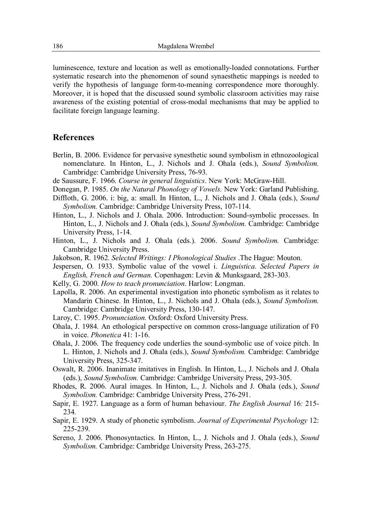luminescence, texture and location as well as emotionally-loaded connotations. Further systematic research into the phenomenon of sound synaesthetic mappings is needed to verify the hypothesis of language form-to-meaning correspondence more thoroughly. Moreover, it is hoped that the discussed sound symbolic classroom activities may raise awareness of the existing potential of cross-modal mechanisms that may be applied to facilitate foreign language learning.

## **References**

- Berlin, B. 2006. Evidence for pervasive synesthetic sound symbolism in ethnozoological nomenclature. In Hinton, L., J. Nichols and J. Ohala (eds.), *Sound Symbolism.*  Cambridge: Cambridge University Press, 76-93.
- de Saussure, F. 1966. *Course in general linguistics*. New York: McGraw-Hill.
- Donegan, P. 1985. *On the Natural Phonology of Vowels.* New York: Garland Publishing.
- Diffloth, G. 2006. i: big, a: small. In Hinton, L., J. Nichols and J. Ohala (eds.), *Sound Symbolism.* Cambridge: Cambridge University Press, 107-114.
- Hinton, L., J. Nichols and J. Ohala. 2006. Introduction: Sound-symbolic processes. In Hinton, L., J. Nichols and J. Ohala (eds.), *Sound Symbolism.* Cambridge: Cambridge University Press, 1-14.
- Hinton, L., J. Nichols and J. Ohala (eds.). 2006. *Sound Symbolism.* Cambridge: Cambridge University Press.
- Jakobson, R. 1962. *Selected Writings: I Phonological Studies* .The Hague: Mouton.
- Jespersen, O. 1933. Symbolic value of the vowel i. *Linguistica. Selected Papers in English, French and German.* Copenhagen: Levin & Munksgaard, 283-303.
- Kelly, G. 2000. *How to teach pronunciation*. Harlow: Longman.
- Lapolla, R. 2006. An experimental investigation into phonetic symbolism as it relates to Mandarin Chinese. In Hinton, L., J. Nichols and J. Ohala (eds.), *Sound Symbolism.*  Cambridge: Cambridge University Press, 130-147.
- Laroy, C. 1995. *Pronunciation.* Oxford: Oxford University Press.
- Ohala, J. 1984. An ethological perspective on common cross-language utilization of F0 in voice. *Phonetica* 41: 1-16.
- Ohala, J. 2006. The frequency code underlies the sound-symbolic use of voice pitch. In L. Hinton, J. Nichols and J. Ohala (eds.), *Sound Symbolism.* Cambridge: Cambridge University Press, 325-347.
- Oswalt, R. 2006. Inanimate imitatives in English. In Hinton, L., J. Nichols and J. Ohala (eds.), *Sound Symbolism.* Cambridge: Cambridge University Press, 293-305.
- Rhodes, R. 2006. Aural images. In Hinton, L., J. Nichols and J. Ohala (eds.), *Sound Symbolism.* Cambridge: Cambridge University Press, 276-291.
- Sapir, E. 1927. Language as a form of human behaviour. *The English Journal* 16*:* 215- 234*.*
- Sapir, E. 1929. A study of phonetic symbolism. *Journal of Experimental Psychology* 12: 225-239.
- Sereno, J. 2006. Phonosyntactics. In Hinton, L., J. Nichols and J. Ohala (eds.), *Sound Symbolism.* Cambridge: Cambridge University Press, 263-275.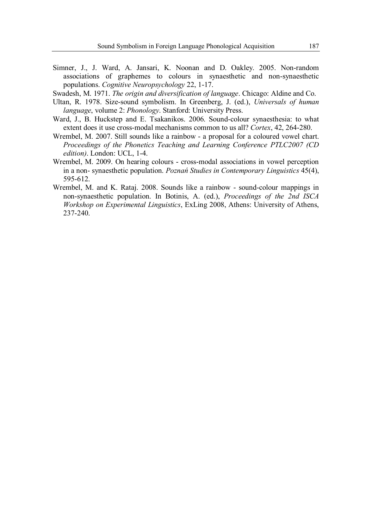Simner, J., J. Ward, A. Jansari, K. Noonan and D. Oakley. 2005. Non-random associations of graphemes to colours in synaesthetic and non-synaesthetic populations. *Cognitive Neuropsychology* 22, 1-17.

Swadesh, M. 1971. *The origin and diversification of language*. Chicago: Aldine and Co.

- Ultan, R. 1978. Size-sound symbolism. In Greenberg, J. (ed.), *Universals of human language*, volume 2: *Phonology*. Stanford: University Press.
- Ward, J., B. Huckstep and E. Tsakanikos. 2006. Sound-colour synaesthesia: to what extent does it use cross-modal mechanisms common to us all? *Cortex*, 42, 264-280.
- Wrembel, M. 2007. Still sounds like a rainbow a proposal for a coloured vowel chart. *Proceedings of the Phonetics Teaching and Learning Conference PTLC2007 (CD edition)*. London: UCL, 1-4.
- Wrembel, M. 2009. On hearing colours cross-modal associations in vowel perception in a non- synaesthetic population. *Poznań Studies in Contemporary Linguistics* 45(4), 595-612.
- Wrembel, M. and K. Rataj. 2008. Sounds like a rainbow sound-colour mappings in non-synaesthetic population. In Botinis, A. (ed.), *Proceedings of the 2nd ISCA Workshop on Experimental Linguistics*, ExLing 2008, Athens: University of Athens, 237-240.